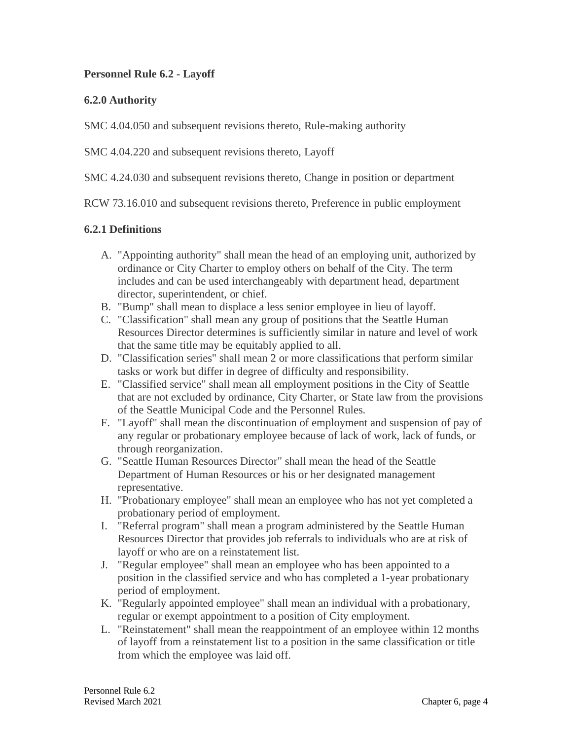### **Personnel Rule 6.2 - Layoff**

### **6.2.0 Authority**

SMC 4.04.050 and subsequent revisions thereto, Rule-making authority

SMC 4.04.220 and subsequent revisions thereto, Layoff

SMC 4.24.030 and subsequent revisions thereto, Change in position or department

RCW 73.16.010 and subsequent revisions thereto, Preference in public employment

#### **6.2.1 Definitions**

- A. "Appointing authority" shall mean the head of an employing unit, authorized by ordinance or City Charter to employ others on behalf of the City. The term includes and can be used interchangeably with department head, department director, superintendent, or chief.
- B. "Bump" shall mean to displace a less senior employee in lieu of layoff.
- C. "Classification" shall mean any group of positions that the Seattle Human Resources Director determines is sufficiently similar in nature and level of work that the same title may be equitably applied to all.
- D. "Classification series" shall mean 2 or more classifications that perform similar tasks or work but differ in degree of difficulty and responsibility.
- E. "Classified service" shall mean all employment positions in the City of Seattle that are not excluded by ordinance, City Charter, or State law from the provisions of the Seattle Municipal Code and the Personnel Rules.
- F. "Layoff" shall mean the discontinuation of employment and suspension of pay of any regular or probationary employee because of lack of work, lack of funds, or through reorganization.
- G. "Seattle Human Resources Director" shall mean the head of the Seattle Department of Human Resources or his or her designated management representative.
- H. "Probationary employee" shall mean an employee who has not yet completed a probationary period of employment.
- I. "Referral program" shall mean a program administered by the Seattle Human Resources Director that provides job referrals to individuals who are at risk of layoff or who are on a reinstatement list.
- J. "Regular employee" shall mean an employee who has been appointed to a position in the classified service and who has completed a 1-year probationary period of employment.
- K. "Regularly appointed employee" shall mean an individual with a probationary, regular or exempt appointment to a position of City employment.
- L. "Reinstatement" shall mean the reappointment of an employee within 12 months of layoff from a reinstatement list to a position in the same classification or title from which the employee was laid off.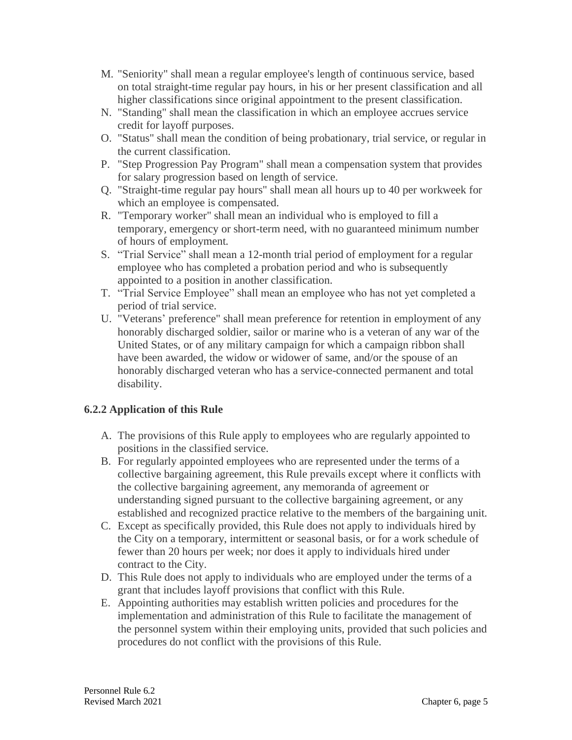- M. "Seniority" shall mean a regular employee's length of continuous service, based on total straight-time regular pay hours, in his or her present classification and all higher classifications since original appointment to the present classification.
- N. "Standing" shall mean the classification in which an employee accrues service credit for layoff purposes.
- O. "Status" shall mean the condition of being probationary, trial service, or regular in the current classification.
- P. "Step Progression Pay Program" shall mean a compensation system that provides for salary progression based on length of service.
- Q. "Straight-time regular pay hours" shall mean all hours up to 40 per workweek for which an employee is compensated.
- R. "Temporary worker" shall mean an individual who is employed to fill a temporary, emergency or short-term need, with no guaranteed minimum number of hours of employment.
- S. "Trial Service" shall mean a 12-month trial period of employment for a regular employee who has completed a probation period and who is subsequently appointed to a position in another classification.
- T. "Trial Service Employee" shall mean an employee who has not yet completed a period of trial service.
- U. "Veterans' preference" shall mean preference for retention in employment of any honorably discharged soldier, sailor or marine who is a veteran of any war of the United States, or of any military campaign for which a campaign ribbon shall have been awarded, the widow or widower of same, and/or the spouse of an honorably discharged veteran who has a service-connected permanent and total disability.

# **6.2.2 Application of this Rule**

- A. The provisions of this Rule apply to employees who are regularly appointed to positions in the classified service.
- B. For regularly appointed employees who are represented under the terms of a collective bargaining agreement, this Rule prevails except where it conflicts with the collective bargaining agreement, any memoranda of agreement or understanding signed pursuant to the collective bargaining agreement, or any established and recognized practice relative to the members of the bargaining unit.
- C. Except as specifically provided, this Rule does not apply to individuals hired by the City on a temporary, intermittent or seasonal basis, or for a work schedule of fewer than 20 hours per week; nor does it apply to individuals hired under contract to the City.
- D. This Rule does not apply to individuals who are employed under the terms of a grant that includes layoff provisions that conflict with this Rule.
- E. Appointing authorities may establish written policies and procedures for the implementation and administration of this Rule to facilitate the management of the personnel system within their employing units, provided that such policies and procedures do not conflict with the provisions of this Rule.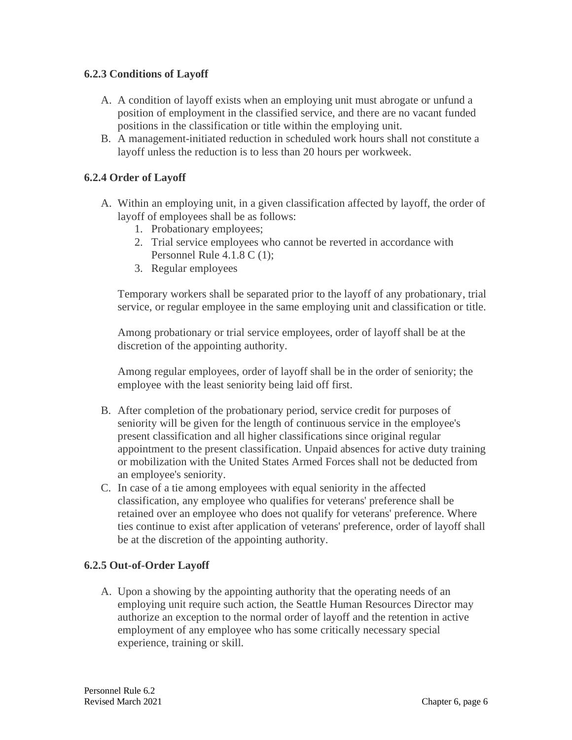### **6.2.3 Conditions of Layoff**

- A. A condition of layoff exists when an employing unit must abrogate or unfund a position of employment in the classified service, and there are no vacant funded positions in the classification or title within the employing unit.
- B. A management-initiated reduction in scheduled work hours shall not constitute a layoff unless the reduction is to less than 20 hours per workweek.

## **6.2.4 Order of Layoff**

- A. Within an employing unit, in a given classification affected by layoff, the order of layoff of employees shall be as follows:
	- 1. Probationary employees;
	- 2. Trial service employees who cannot be reverted in accordance with Personnel Rule 4.1.8 C (1);
	- 3. Regular employees

Temporary workers shall be separated prior to the layoff of any probationary, trial service, or regular employee in the same employing unit and classification or title.

Among probationary or trial service employees, order of layoff shall be at the discretion of the appointing authority.

Among regular employees, order of layoff shall be in the order of seniority; the employee with the least seniority being laid off first.

- B. After completion of the probationary period, service credit for purposes of seniority will be given for the length of continuous service in the employee's present classification and all higher classifications since original regular appointment to the present classification. Unpaid absences for active duty training or mobilization with the United States Armed Forces shall not be deducted from an employee's seniority.
- C. In case of a tie among employees with equal seniority in the affected classification, any employee who qualifies for veterans' preference shall be retained over an employee who does not qualify for veterans' preference. Where ties continue to exist after application of veterans' preference, order of layoff shall be at the discretion of the appointing authority.

#### **6.2.5 Out-of-Order Layoff**

A. Upon a showing by the appointing authority that the operating needs of an employing unit require such action, the Seattle Human Resources Director may authorize an exception to the normal order of layoff and the retention in active employment of any employee who has some critically necessary special experience, training or skill.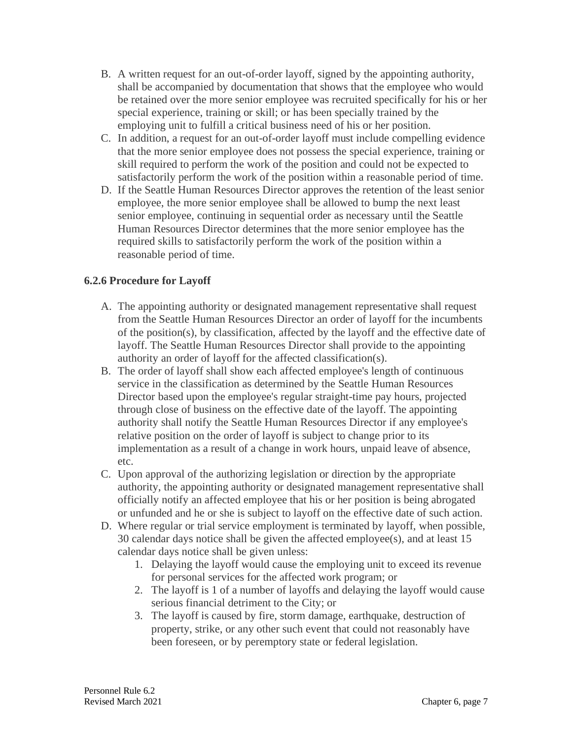- B. A written request for an out-of-order layoff, signed by the appointing authority, shall be accompanied by documentation that shows that the employee who would be retained over the more senior employee was recruited specifically for his or her special experience, training or skill; or has been specially trained by the employing unit to fulfill a critical business need of his or her position.
- C. In addition, a request for an out-of-order layoff must include compelling evidence that the more senior employee does not possess the special experience, training or skill required to perform the work of the position and could not be expected to satisfactorily perform the work of the position within a reasonable period of time.
- D. If the Seattle Human Resources Director approves the retention of the least senior employee, the more senior employee shall be allowed to bump the next least senior employee, continuing in sequential order as necessary until the Seattle Human Resources Director determines that the more senior employee has the required skills to satisfactorily perform the work of the position within a reasonable period of time.

## **6.2.6 Procedure for Layoff**

- A. The appointing authority or designated management representative shall request from the Seattle Human Resources Director an order of layoff for the incumbents of the position(s), by classification, affected by the layoff and the effective date of layoff. The Seattle Human Resources Director shall provide to the appointing authority an order of layoff for the affected classification(s).
- B. The order of layoff shall show each affected employee's length of continuous service in the classification as determined by the Seattle Human Resources Director based upon the employee's regular straight-time pay hours, projected through close of business on the effective date of the layoff. The appointing authority shall notify the Seattle Human Resources Director if any employee's relative position on the order of layoff is subject to change prior to its implementation as a result of a change in work hours, unpaid leave of absence, etc.
- C. Upon approval of the authorizing legislation or direction by the appropriate authority, the appointing authority or designated management representative shall officially notify an affected employee that his or her position is being abrogated or unfunded and he or she is subject to layoff on the effective date of such action.
- D. Where regular or trial service employment is terminated by layoff, when possible, 30 calendar days notice shall be given the affected employee(s), and at least 15 calendar days notice shall be given unless:
	- 1. Delaying the layoff would cause the employing unit to exceed its revenue for personal services for the affected work program; or
	- 2. The layoff is 1 of a number of layoffs and delaying the layoff would cause serious financial detriment to the City; or
	- 3. The layoff is caused by fire, storm damage, earthquake, destruction of property, strike, or any other such event that could not reasonably have been foreseen, or by peremptory state or federal legislation.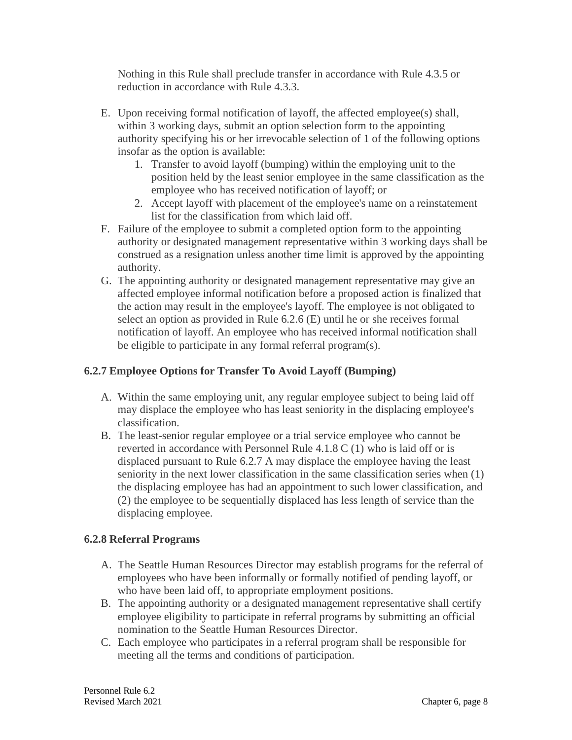Nothing in this Rule shall preclude transfer in accordance with Rule 4.3.5 or reduction in accordance with Rule 4.3.3.

- E. Upon receiving formal notification of layoff, the affected employee(s) shall, within 3 working days, submit an option selection form to the appointing authority specifying his or her irrevocable selection of 1 of the following options insofar as the option is available:
	- 1. Transfer to avoid layoff (bumping) within the employing unit to the position held by the least senior employee in the same classification as the employee who has received notification of layoff; or
	- 2. Accept layoff with placement of the employee's name on a reinstatement list for the classification from which laid off.
- F. Failure of the employee to submit a completed option form to the appointing authority or designated management representative within 3 working days shall be construed as a resignation unless another time limit is approved by the appointing authority.
- G. The appointing authority or designated management representative may give an affected employee informal notification before a proposed action is finalized that the action may result in the employee's layoff. The employee is not obligated to select an option as provided in Rule 6.2.6 (E) until he or she receives formal notification of layoff. An employee who has received informal notification shall be eligible to participate in any formal referral program(s).

# **6.2.7 Employee Options for Transfer To Avoid Layoff (Bumping)**

- A. Within the same employing unit, any regular employee subject to being laid off may displace the employee who has least seniority in the displacing employee's classification.
- B. The least-senior regular employee or a trial service employee who cannot be reverted in accordance with Personnel Rule 4.1.8 C (1) who is laid off or is displaced pursuant to Rule 6.2.7 A may displace the employee having the least seniority in the next lower classification in the same classification series when (1) the displacing employee has had an appointment to such lower classification, and (2) the employee to be sequentially displaced has less length of service than the displacing employee.

#### **6.2.8 Referral Programs**

- A. The Seattle Human Resources Director may establish programs for the referral of employees who have been informally or formally notified of pending layoff, or who have been laid off, to appropriate employment positions.
- B. The appointing authority or a designated management representative shall certify employee eligibility to participate in referral programs by submitting an official nomination to the Seattle Human Resources Director.
- C. Each employee who participates in a referral program shall be responsible for meeting all the terms and conditions of participation.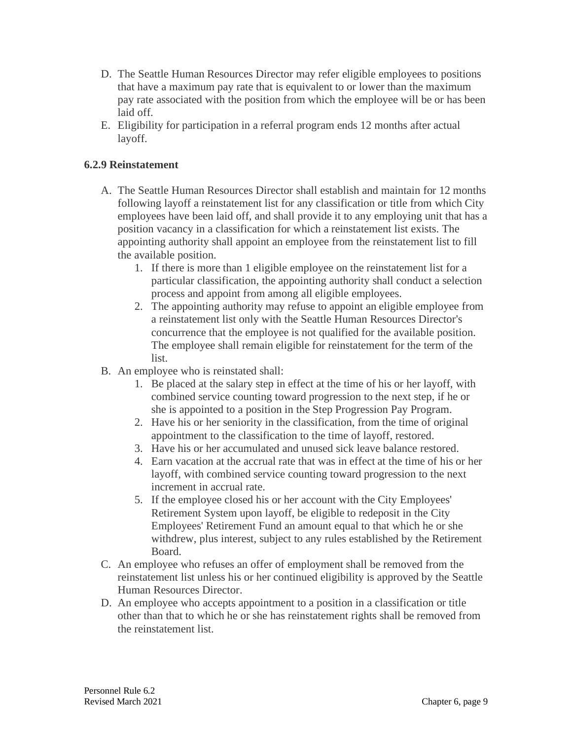- D. The Seattle Human Resources Director may refer eligible employees to positions that have a maximum pay rate that is equivalent to or lower than the maximum pay rate associated with the position from which the employee will be or has been laid off.
- E. Eligibility for participation in a referral program ends 12 months after actual layoff.

## **6.2.9 Reinstatement**

- A. The Seattle Human Resources Director shall establish and maintain for 12 months following layoff a reinstatement list for any classification or title from which City employees have been laid off, and shall provide it to any employing unit that has a position vacancy in a classification for which a reinstatement list exists. The appointing authority shall appoint an employee from the reinstatement list to fill the available position.
	- 1. If there is more than 1 eligible employee on the reinstatement list for a particular classification, the appointing authority shall conduct a selection process and appoint from among all eligible employees.
	- 2. The appointing authority may refuse to appoint an eligible employee from a reinstatement list only with the Seattle Human Resources Director's concurrence that the employee is not qualified for the available position. The employee shall remain eligible for reinstatement for the term of the list.
- B. An employee who is reinstated shall:
	- 1. Be placed at the salary step in effect at the time of his or her layoff, with combined service counting toward progression to the next step, if he or she is appointed to a position in the Step Progression Pay Program.
	- 2. Have his or her seniority in the classification, from the time of original appointment to the classification to the time of layoff, restored.
	- 3. Have his or her accumulated and unused sick leave balance restored.
	- 4. Earn vacation at the accrual rate that was in effect at the time of his or her layoff, with combined service counting toward progression to the next increment in accrual rate.
	- 5. If the employee closed his or her account with the City Employees' Retirement System upon layoff, be eligible to redeposit in the City Employees' Retirement Fund an amount equal to that which he or she withdrew, plus interest, subject to any rules established by the Retirement Board.
- C. An employee who refuses an offer of employment shall be removed from the reinstatement list unless his or her continued eligibility is approved by the Seattle Human Resources Director.
- D. An employee who accepts appointment to a position in a classification or title other than that to which he or she has reinstatement rights shall be removed from the reinstatement list.